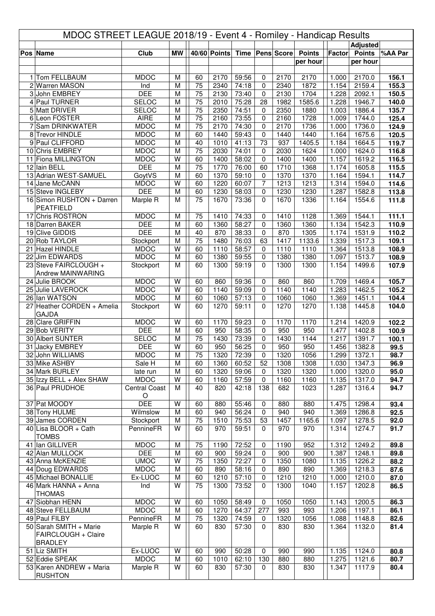| MDOC STREET LEAGUE 2018/19 - Event 4 - Romiley - Handicap Results |                                       |                              |           |                 |              |                |                   |                     |                           |                |                           |                |
|-------------------------------------------------------------------|---------------------------------------|------------------------------|-----------|-----------------|--------------|----------------|-------------------|---------------------|---------------------------|----------------|---------------------------|----------------|
|                                                                   |                                       |                              |           |                 |              |                |                   |                     |                           |                | <b>Adjusted</b>           |                |
|                                                                   | Pos Name                              | <b>Club</b>                  | <b>MW</b> |                 | 40/60 Points |                |                   | Time   Pens   Score | <b>Points</b><br>per hour | Factor         | <b>Points</b><br>per hour | %AA Par        |
|                                                                   |                                       |                              |           |                 |              |                |                   |                     |                           |                |                           |                |
|                                                                   | 1 Tom FELLBAUM                        | <b>MDOC</b>                  | M         | 60              | 2170         | 59:56          | 0                 | 2170                | 2170                      | 1.000          | 2170.0                    | 156.1          |
|                                                                   | 2 Warren MASON                        | Ind                          | M         | 75              | 2340         | 74:18          | 0                 | 2340                | 1872                      | 1.154          | 2159.4                    | 155.3          |
|                                                                   | 3 John EMBREY                         | <b>DEE</b>                   | M         | 75              | 2130         | 73:40          | $\Omega$          | 2130                | 1704                      | 1.228          | 2092.1                    | 150.5          |
|                                                                   | 4 Paul TURNER<br>5 Matt DRIVER        | <b>SELOC</b><br><b>SELOC</b> | M<br>M    | 75<br>75        | 2010<br>2350 | 75:28<br>74:51 | 28<br>0           | 1982<br>2350        | 1585.6<br>1880            | 1.228<br>1.003 | 1946.7<br>1886.4          | 140.0<br>135.7 |
|                                                                   | 6 Leon FOSTER                         | AIRE                         | M         | 75              | 2160         | 73:55          | $\mathbf 0$       | 2160                | 1728                      | 1.009          | 1744.0                    | 125.4          |
|                                                                   | 7 Sam DRINKWATER                      | <b>MDOC</b>                  | M         | $\overline{75}$ | 2170         | 74:30          | $\mathbf 0$       | 2170                | 1736                      | 1.000          | 1736.0                    | 124.9          |
|                                                                   | 8 Trevor HINDLE                       | <b>MDOC</b>                  | M         | 60              | 1440         | 59:43          | $\mathbf 0$       | 1440                | 1440                      | 1.164          | 1675.6                    | 120.5          |
|                                                                   | 9 Paul CLIFFORD                       | <b>MDOC</b>                  | M         | 40              | 1010         | 41:13          | 73                | 937                 | 1405.5                    | 1.184          | 1664.5                    | 119.7          |
|                                                                   | 10 Chris EMBREY                       | <b>MDOC</b>                  | M         | 75              | 2030         | 74:01          | $\Omega$          | 2030                | 1624                      | 1.000          | 1624.0                    | 116.8          |
|                                                                   | 11 Fiona MILLINGTON                   | <b>MDOC</b>                  | W         | 60              | 1400         | 58:02          | $\mathbf 0$       | 1400                | 1400                      | 1.157          | 1619.2                    | 116.5          |
|                                                                   | 12 Iain BELL<br>13 Adrian WEST-SAMUEL | <b>DEE</b><br>GoytVS         | M<br>M    | 75<br>60        | 1770<br>1370 | 76:00<br>59:10 | 60<br>0           | 1710<br>1370        | 1368<br>1370              | 1.174<br>1.164 | 1605.8<br>1594.1          | 115.5<br>114.7 |
|                                                                   | 14 Jane McCANN                        | <b>MDOC</b>                  | W         | 60              | 1220         | 60:07          | $\overline{7}$    | 1213                | 1213                      | 1.314          | 1594.0                    | 114.6          |
|                                                                   | 15 Steve INGLEBY                      | <b>DEE</b>                   | M         | 60              | 1230         | 58:03          | $\mathbf 0$       | 1230                | 1230                      | 1.287          | 1582.8                    | 113.8          |
|                                                                   | 16 Simon RUSHTON + Darren             | Marple R                     | M         | $\overline{75}$ | 1670         | 73:36          | $\Omega$          | 1670                | 1336                      | 1.164          | 1554.6                    | 111.8          |
|                                                                   | <b>PEATFIELD</b>                      |                              |           |                 |              |                |                   |                     |                           |                |                           |                |
|                                                                   | 17 Chris ROSTRON                      | <b>MDOC</b>                  | M         | 75              | 1410         | 74:33          | 0                 | 1410                | 1128                      | 1.369          | 1544.1                    | 111.1          |
|                                                                   | 18 Darren BAKER                       | <b>DEE</b>                   | M         | 60              | 1360         | 58:27          | $\mathbf 0$       | 1360                | 1360                      | 1.134          | 1542.3                    | 110.9          |
|                                                                   | 19 Clive GIDDIS                       | <b>DEE</b>                   | M         | 40              | 870          | 38:33          | 0                 | 870                 | 1305                      | 1.174          | 1531.9                    | 110.2          |
|                                                                   | 20 Rob TAYLOR<br>21 Hazel HINDLE      | Stockport<br><b>MDOC</b>     | M<br>W    | 75<br>60        | 1480<br>1110 | 76:03<br>58:57 | 63<br>$\mathbf 0$ | 1417<br>1110        | 1133.6<br>1110            | 1.339          | 1517.3                    | 109.1          |
|                                                                   | 22 Jim EDWARDS                        | <b>MDOC</b>                  | M         | 60              | 1380         | 59:55          | $\mathbf 0$       | 1380                | 1380                      | 1.364<br>1.097 | 1513.8<br>1513.7          | 108.9<br>108.9 |
|                                                                   | 23 Steve FAIRCLOUGH +                 | Stockport                    | M         | 60              | 1300         | 59:19          | $\Omega$          | 1300                | 1300                      | 1.154          | 1499.6                    | 107.9          |
|                                                                   | Andrew MAINWARING                     |                              |           |                 |              |                |                   |                     |                           |                |                           |                |
|                                                                   | 24 Julie BROOK                        | <b>MDOC</b>                  | W         | 60              | 860          | 59:36          | 0                 | 860                 | 860                       | 1.709          | 1469.4                    | 105.7          |
|                                                                   | 25 Julie LAVEROCK                     | <b>MDOC</b>                  | W         | 60              | 1140         | 59:09          | $\mathbf 0$       | 1140                | 1140                      | 1.283          | 1462.5                    | 105.2          |
|                                                                   | 26 Ian WATSON                         | <b>MDOC</b>                  | M         | 60              | 1060         | 57:13          | $\mathbf 0$       | 1060                | 1060                      | 1.369          | 1451.1                    | 104.4          |
|                                                                   | 27 Heather CORDEN + Amelia            | Stockport                    | W         | 60              | 1270         | 59:11          | $\Omega$          | 1270                | 1270                      | 1.138          | 1445.8                    | 104.0          |
|                                                                   | <b>GAJDA</b>                          |                              |           |                 |              |                |                   |                     |                           |                |                           |                |
|                                                                   | 28 Clare GRIFFIN<br>29 Bob VERITY     | <b>MDOC</b><br><b>DEE</b>    | W<br>M    | 60<br>60        | 1170<br>950  | 59:23<br>58:35 | 0<br>0            | 1170<br>950         | 1170<br>950               | 1.214<br>1.477 | 1420.9<br>1402.8          | 102.2<br>100.9 |
|                                                                   | 30 Albert SUNTER                      | <b>SELOC</b>                 | M         | 75              | 1430         | 73:39          | $\mathbf 0$       | 1430                | 1144                      | 1.217          | 1391.7                    | 100.1          |
|                                                                   | 31 Jacky EMBREY                       | <b>DEE</b>                   | W         | 60              | 950          | 56:25          | $\pmb{0}$         | 950                 | 950                       | 1.456          | 1382.8                    | 99.5           |
|                                                                   | 32 John WILLIAMS                      | <b>MDOC</b>                  | M         | 75              | 1320         | 72:39          | $\pmb{0}$         | 1320                | 1056                      | 1.299          | 1372.1                    | 98.7           |
|                                                                   | 33 Mike ASHBY                         | Sale H                       | M         | 60              | 1360         | 60:52          | 52                | 1308                | 1308                      | 1.030          | 1347.3                    | 96.9           |
|                                                                   | 34 Mark BURLEY                        | late run                     | M         | 60              | 1320         | 59:06          | 0                 | 1320                | 1320                      | 1.000          | 1320.0                    | 95.0           |
|                                                                   | 35 Izzy BELL + Alex SHAW              | <b>MDOC</b>                  | W         | 60              | 1160         | 57:59          | $\mathbf 0$       | 1160                | 1160                      | 1.135          | 1317.0                    | 94.7           |
|                                                                   | 36 Paul PRUDHOE                       | <b>Central Coast</b>         | M         | 40              | 820          | 42:18          | 138               | 682                 | 1023                      | 1.287          | 1316.4                    | 94.7           |
|                                                                   |                                       | $\circ$                      |           |                 |              |                |                   |                     |                           |                |                           |                |
|                                                                   | 37 Pat MOODY<br>38 Tony HULME         | <b>DEE</b><br>Wilmslow       | W<br>M    | 60<br>60        | 880<br>940   | 55:46<br>56:24 | 0<br>$\mathbf 0$  | 880<br>940          | 880<br>940                | 1.475<br>1.369 | 1298.4<br>1286.8          | 93.4<br>92.5   |
|                                                                   | 39 James CORDEN                       | Stockport                    | M         | 75              | 1510         | 75:53          | 53                | 1457                | 1165.6                    | 1.097          | 1278.5                    | 92.0           |
|                                                                   | 40 Lisa BLOOR + Cath                  | PennineFR                    | W         | 60              | 970          | 59:51          | 0                 | 970                 | 970                       | 1.314          | 1274.7                    | 91.7           |
|                                                                   | <b>TOMBS</b>                          |                              |           |                 |              |                |                   |                     |                           |                |                           |                |
|                                                                   | 41 Ian GILLIVER                       | <b>MDOC</b>                  | M         | 75              | 1190         | 72:52          | 0                 | 1190                | 952                       | 1.312          | 1249.2                    | 89.8           |
|                                                                   | 42 Alan MULLOCK                       | <b>DEE</b>                   | M         | 60              | 900          | 59:24          | $\mathbf 0$       | 900                 | 900                       | 1.387          | 1248.1                    | 89.8           |
|                                                                   | 43 Anna McKENZIE                      | <b>UMOC</b>                  | W         | 75              | 1350         | 72:27          | 0                 | 1350                | 1080                      | 1.135          | 1226.2                    | 88.2           |
|                                                                   | 44 Doug EDWARDS                       | <b>MDOC</b>                  | M         | 60              | 890          | 58:16          | 0                 | 890                 | 890                       | 1.369          | 1218.3                    | 87.6           |
|                                                                   | 45 Michael BONALLIE                   | Ex-LUOC                      | M         | 60              | 1210         | 57:10          | 0                 | 1210                | 1210                      | 1.000          | 1210.0                    | 87.0           |
|                                                                   | 46 Mark HANNA + Anna<br><b>THOMAS</b> | Ind                          | W         | 75              | 1300         | 73:52          | $\Omega$          | 1300                | 1040                      | 1.157          | 1202.8                    | 86.5           |
|                                                                   | 47 Siobhan HENN                       | <b>MDOC</b>                  | W         | 60              | 1050         | 58:49          | 0                 | 1050                | 1050                      | 1.143          | 1200.5                    | 86.3           |
|                                                                   | 48 Steve FELLBAUM                     | <b>MDOC</b>                  | M         | 60              | 1270         | 64:37          | 277               | 993                 | 993                       | 1.206          | 1197.1                    | 86.1           |
|                                                                   | 49 Paul FILBY                         | PennineFR                    | M         | 75              | 1320         | 74:59          | 0                 | 1320                | 1056                      | 1.088          | 1148.8                    | 82.6           |
|                                                                   | 50 Sarah SMITH + Marie                | Marple R                     | W         | 60              | 830          | 57:30          | 0                 | 830                 | 830                       | 1.364          | 1132.0                    | 81.4           |
|                                                                   | FAIRCLOUGH + Claire                   |                              |           |                 |              |                |                   |                     |                           |                |                           |                |
|                                                                   | <b>BRADLEY</b>                        |                              |           |                 |              |                |                   |                     |                           |                |                           |                |
|                                                                   | 51 Liz SMITH                          | Ex-LUOC                      | W         | 60              | 990          | 50:28          | $\mathbf 0$       | 990                 | 990                       | 1.135          | 1124.0                    | 80.8           |
|                                                                   | 52 Eddie SPEAK                        | <b>MDOC</b>                  | M         | 60              | 1010         | 62:10          | 130               | 880                 | 880                       | 1.275          | 1121.6                    | 80.7           |
|                                                                   | 53 Karen ANDREW + Maria               | Marple R                     | W         | 60              | 830          | 57:30          | $\mathbf 0$       | 830                 | 830                       | 1.347          | 1117.9                    | 80.4           |
|                                                                   | <b>RUSHTON</b>                        |                              |           |                 |              |                |                   |                     |                           |                |                           |                |